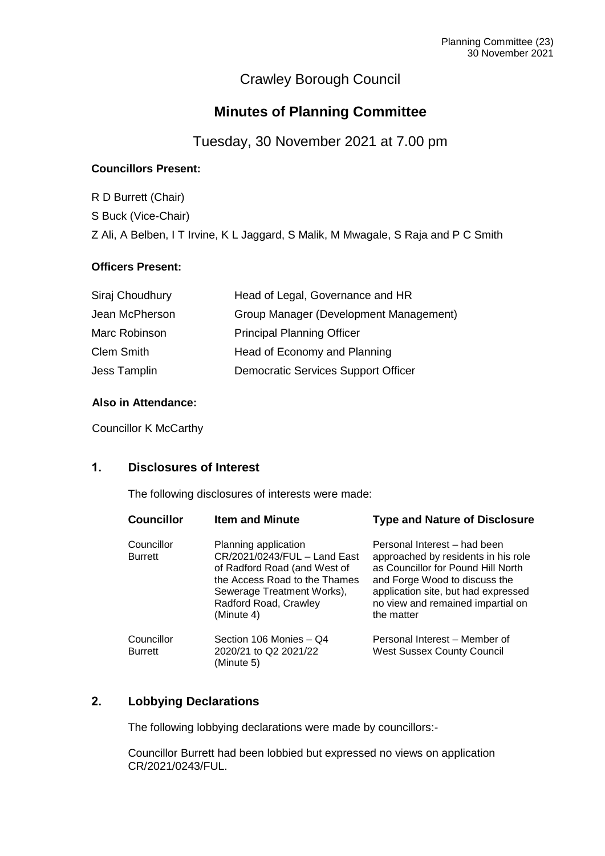# Crawley Borough Council

# **Minutes of Planning Committee**

Tuesday, 30 November 2021 at 7.00 pm

# **Councillors Present:**

R D Burrett (Chair) S Buck (Vice-Chair) Z Ali, A Belben, I T Irvine, K L Jaggard, S Malik, M Mwagale, S Raja and P C Smith

# **Officers Present:**

| Siraj Choudhury   | Head of Legal, Governance and HR           |
|-------------------|--------------------------------------------|
| Jean McPherson    | Group Manager (Development Management)     |
| Marc Robinson     | <b>Principal Planning Officer</b>          |
| <b>Clem Smith</b> | Head of Economy and Planning               |
| Jess Tamplin      | <b>Democratic Services Support Officer</b> |

# **Also in Attendance:**

Councillor K McCarthy

# **1. Disclosures of Interest**

The following disclosures of interests were made:

| <b>Councillor</b>            | <b>Item and Minute</b>                                                                                                                                                                     | <b>Type and Nature of Disclosure</b>                                                                                                                                                                                                 |
|------------------------------|--------------------------------------------------------------------------------------------------------------------------------------------------------------------------------------------|--------------------------------------------------------------------------------------------------------------------------------------------------------------------------------------------------------------------------------------|
| Councillor<br><b>Burrett</b> | Planning application<br>CR/2021/0243/FUL - Land East<br>of Radford Road (and West of<br>the Access Road to the Thames<br>Sewerage Treatment Works),<br>Radford Road, Crawley<br>(Minute 4) | Personal Interest - had been<br>approached by residents in his role<br>as Councillor for Pound Hill North<br>and Forge Wood to discuss the<br>application site, but had expressed<br>no view and remained impartial on<br>the matter |
| Councillor<br><b>Burrett</b> | Section 106 Monies - Q4<br>2020/21 to Q2 2021/22<br>(Minute 5)                                                                                                                             | Personal Interest – Member of<br><b>West Sussex County Council</b>                                                                                                                                                                   |

# **2. Lobbying Declarations**

The following lobbying declarations were made by councillors:-

Councillor Burrett had been lobbied but expressed no views on application CR/2021/0243/FUL.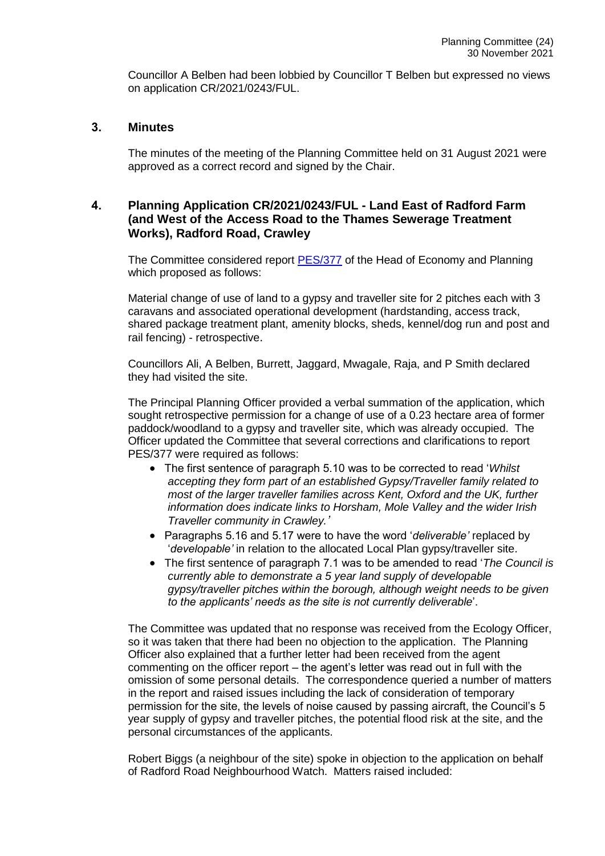Councillor A Belben had been lobbied by Councillor T Belben but expressed no views on application CR/2021/0243/FUL.

#### **3. Minutes**

The minutes of the meeting of the Planning Committee held on 31 August 2021 were approved as a correct record and signed by the Chair.

# **4. Planning Application CR/2021/0243/FUL - Land East of Radford Farm (and West of the Access Road to the Thames Sewerage Treatment Works), Radford Road, Crawley**

The Committee considered report [PES/377](https://democracy.crawley.gov.uk/documents/s20788/CR20210243FUL%20-%20Land%20East%20of%20Radford%20Farm%20and%20West%20of%20the%20Access%20Road%20to%20the%20Thames%20Sewerage%20Tre.pdf) of the Head of Economy and Planning which proposed as follows:

Material change of use of land to a gypsy and traveller site for 2 pitches each with 3 caravans and associated operational development (hardstanding, access track, shared package treatment plant, amenity blocks, sheds, kennel/dog run and post and rail fencing) - retrospective.

Councillors Ali, A Belben, Burrett, Jaggard, Mwagale, Raja, and P Smith declared they had visited the site.

The Principal Planning Officer provided a verbal summation of the application, which sought retrospective permission for a change of use of a 0.23 hectare area of former paddock/woodland to a gypsy and traveller site, which was already occupied. The Officer updated the Committee that several corrections and clarifications to report PES/377 were required as follows:

- The first sentence of paragraph 5.10 was to be corrected to read '*Whilst accepting they form part of an established Gypsy/Traveller family related to most of the larger traveller families across Kent, Oxford and the UK, further information does indicate links to Horsham, Mole Valley and the wider Irish Traveller community in Crawley.'*
- Paragraphs 5.16 and 5.17 were to have the word '*deliverable'* replaced by '*developable'* in relation to the allocated Local Plan gypsy/traveller site.
- The first sentence of paragraph 7.1 was to be amended to read '*The Council is currently able to demonstrate a 5 year land supply of developable gypsy/traveller pitches within the borough, although weight needs to be given to the applicants' needs as the site is not currently deliverable*'.

The Committee was updated that no response was received from the Ecology Officer, so it was taken that there had been no objection to the application. The Planning Officer also explained that a further letter had been received from the agent commenting on the officer report – the agent's letter was read out in full with the omission of some personal details. The correspondence queried a number of matters in the report and raised issues including the lack of consideration of temporary permission for the site, the levels of noise caused by passing aircraft, the Council's 5 year supply of gypsy and traveller pitches, the potential flood risk at the site, and the personal circumstances of the applicants.

Robert Biggs (a neighbour of the site) spoke in objection to the application on behalf of Radford Road Neighbourhood Watch. Matters raised included: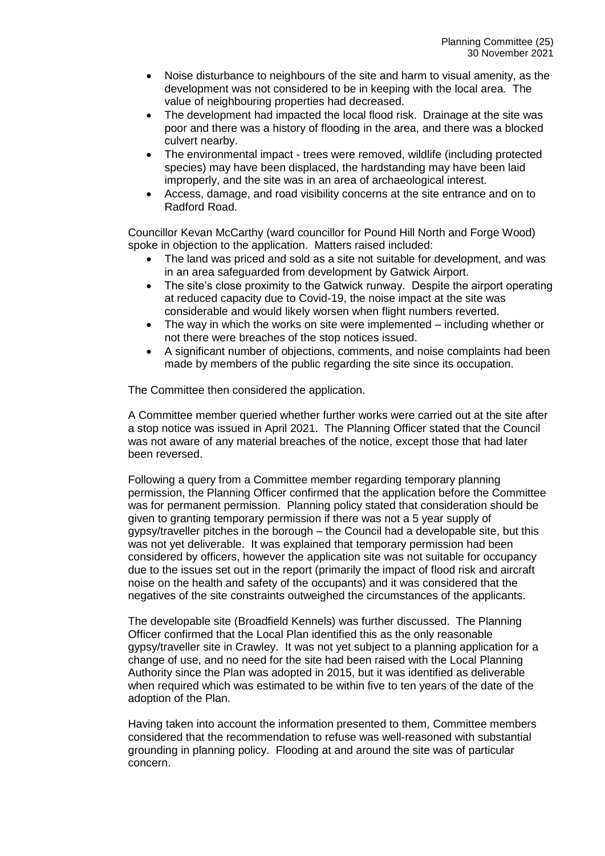- Noise disturbance to neighbours of the site and harm to visual amenity, as the development was not considered to be in keeping with the local area. The value of neighbouring properties had decreased.
- The development had impacted the local flood risk. Drainage at the site was poor and there was a history of flooding in the area, and there was a blocked culvert nearby.
- The environmental impact trees were removed, wildlife (including protected species) may have been displaced, the hardstanding may have been laid improperly, and the site was in an area of archaeological interest.
- Access, damage, and road visibility concerns at the site entrance and on to Radford Road.

Councillor Kevan McCarthy (ward councillor for Pound Hill North and Forge Wood) spoke in objection to the application. Matters raised included:

- The land was priced and sold as a site not suitable for development, and was in an area safeguarded from development by Gatwick Airport.
- The site's close proximity to the Gatwick runway. Despite the airport operating at reduced capacity due to Covid-19, the noise impact at the site was considerable and would likely worsen when flight numbers reverted.
- The way in which the works on site were implemented including whether or not there were breaches of the stop notices issued.
- A significant number of objections, comments, and noise complaints had been made by members of the public regarding the site since its occupation.

The Committee then considered the application.

A Committee member queried whether further works were carried out at the site after a stop notice was issued in April 2021. The Planning Officer stated that the Council was not aware of any material breaches of the notice, except those that had later been reversed.

Following a query from a Committee member regarding temporary planning permission, the Planning Officer confirmed that the application before the Committee was for permanent permission. Planning policy stated that consideration should be given to granting temporary permission if there was not a 5 year supply of gypsy/traveller pitches in the borough – the Council had a developable site, but this was not yet deliverable. It was explained that temporary permission had been considered by officers, however the application site was not suitable for occupancy due to the issues set out in the report (primarily the impact of flood risk and aircraft noise on the health and safety of the occupants) and it was considered that the negatives of the site constraints outweighed the circumstances of the applicants.

The developable site (Broadfield Kennels) was further discussed. The Planning Officer confirmed that the Local Plan identified this as the only reasonable gypsy/traveller site in Crawley. It was not yet subject to a planning application for a change of use, and no need for the site had been raised with the Local Planning Authority since the Plan was adopted in 2015, but it was identified as deliverable when required which was estimated to be within five to ten years of the date of the adoption of the Plan.

Having taken into account the information presented to them, Committee members considered that the recommendation to refuse was well-reasoned with substantial grounding in planning policy. Flooding at and around the site was of particular concern.